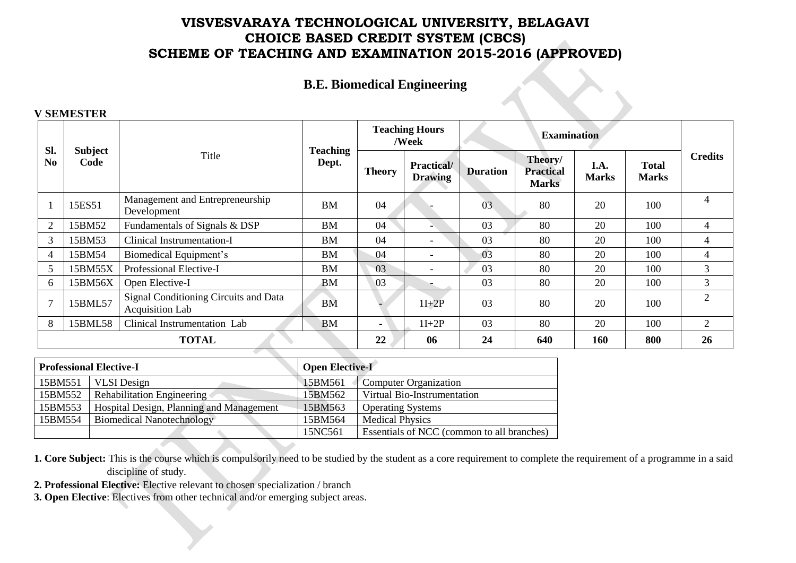# **B.E. Biomedical Engineering**

#### **V SEMESTER**

| Sl.            | <b>Subject</b> |                                                                 | <b>Teaching</b> |               | <b>Teaching Hours</b><br>/Week       |                 | <b>Examination</b>                          |                      |                              |                |  |
|----------------|----------------|-----------------------------------------------------------------|-----------------|---------------|--------------------------------------|-----------------|---------------------------------------------|----------------------|------------------------------|----------------|--|
| N <sub>0</sub> | Code           | Title                                                           | Dept.           | <b>Theory</b> | <b>Practical</b> /<br><b>Drawing</b> | <b>Duration</b> | Theory/<br><b>Practical</b><br><b>Marks</b> | I.A.<br><b>Marks</b> | <b>Total</b><br><b>Marks</b> | <b>Credits</b> |  |
|                | 15ES51         | Management and Entrepreneurship<br>Development                  | <b>BM</b>       | 04            |                                      | 03              | 80                                          | 20                   | 100                          | 4              |  |
| 2              | 15BM52         | Fundamentals of Signals & DSP                                   | <b>BM</b>       | 04            |                                      | 03              | 80                                          | 20                   | 100                          | 4              |  |
| 3              | 15BM53         | Clinical Instrumentation-I                                      | <b>BM</b>       | 04            | $\overline{\phantom{a}}$             | 03              | 80                                          | 20                   | 100                          | 4              |  |
| $\overline{4}$ | 15BM54         | Biomedical Equipment's                                          | <b>BM</b>       | 04            | $\sim$                               | 03              | 80                                          | 20                   | 100                          | $\overline{4}$ |  |
| 5              | 15BM55X        | Professional Elective-I                                         | BM              | 03            | $\overline{\phantom{a}}$             | 03              | 80                                          | 20                   | 100                          | 3              |  |
| 6              | 15BM56X        | Open Elective-I                                                 | <b>BM</b>       | 03            |                                      | 03              | 80                                          | 20                   | 100                          | $\mathfrak{Z}$ |  |
| $\mathcal{I}$  | 15BML57        | Signal Conditioning Circuits and Data<br><b>Acquisition Lab</b> | <b>BM</b>       |               | $1I+2P$                              | 03              | 80                                          | 20                   | 100                          | $\overline{2}$ |  |
| 8              | 15BML58        | Clinical Instrumentation Lab                                    | <b>BM</b>       | $\sim$        | $1I+2P$                              | 03              | 80                                          | 20                   | 100                          | $\overline{2}$ |  |
|                |                | <b>TOTAL</b>                                                    |                 | 22            | 06                                   | 24              | 640                                         | 160                  | 800                          | 26             |  |

|         | <b>Professional Elective-I</b>           | <b>Open Elective-I</b> |                                            |
|---------|------------------------------------------|------------------------|--------------------------------------------|
| 15BM551 | <b>VLSI</b> Design                       | 15BM561                | Computer Organization                      |
| 15BM552 | <b>Rehabilitation Engineering</b>        | 15BM562                | Virtual Bio-Instrumentation                |
| 15BM553 | Hospital Design, Planning and Management | 15BM563                | <b>Operating Systems</b>                   |
| 15BM554 | <b>Biomedical Nanotechnology</b>         | 15BM564                | <b>Medical Physics</b>                     |
|         |                                          | 15NC561                | Essentials of NCC (common to all branches) |

**1. Core Subject:** This is the course which is compulsorily need to be studied by the student as a core requirement to complete the requirement of a programme in a said discipline of study.

**2. Professional Elective:** Elective relevant to chosen specialization / branch

**3. Open Elective**: Electives from other technical and/or emerging subject areas.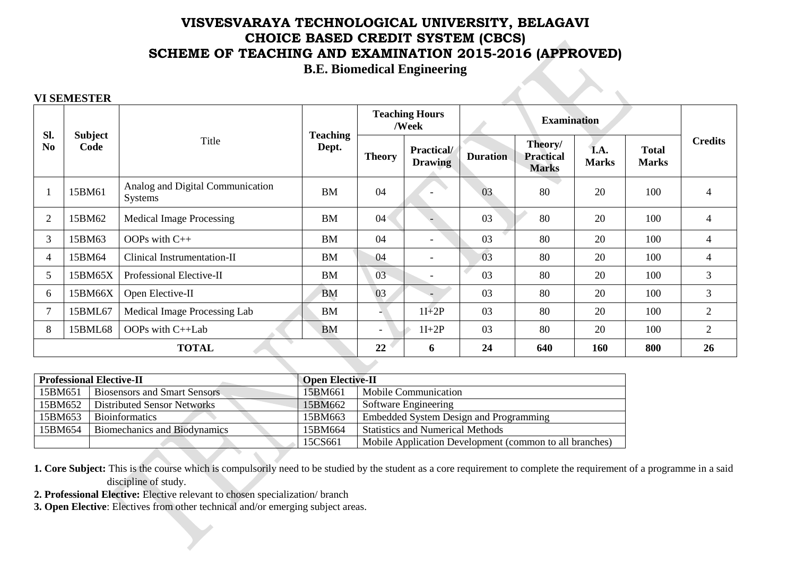**B.E. Biomedical Engineering**

#### **VI SEMESTER**

| Sl.            |                        |                                                    | <b>Teaching</b> |                          | <b>Teaching Hours</b><br>/Week |                 | <b>Examination</b>                          |                      |                              |                |
|----------------|------------------------|----------------------------------------------------|-----------------|--------------------------|--------------------------------|-----------------|---------------------------------------------|----------------------|------------------------------|----------------|
| N <sub>0</sub> | <b>Subject</b><br>Code | Title                                              | Dept.           | <b>Theory</b>            | Practical/<br><b>Drawing</b>   | <b>Duration</b> | Theory/<br><b>Practical</b><br><b>Marks</b> | I.A.<br><b>Marks</b> | <b>Total</b><br><b>Marks</b> | <b>Credits</b> |
|                | 15BM61                 | Analog and Digital Communication<br><b>Systems</b> | <b>BM</b>       | 04                       |                                | 03              | 80                                          | 20                   | 100                          | $\overline{4}$ |
| $\overline{2}$ | 15BM62                 | <b>Medical Image Processing</b>                    | <b>BM</b>       | 04 <sup>°</sup>          |                                | 03              | 80                                          | 20                   | 100                          | $\overline{4}$ |
| 3              | 15BM63                 | OOPs with $C++$                                    | <b>BM</b>       | 04                       | $\overline{\phantom{a}}$       | 03              | 80                                          | 20                   | 100                          | 4              |
| $\overline{4}$ | 15BM64                 | Clinical Instrumentation-II                        | <b>BM</b>       | 04                       | $\overline{\phantom{a}}$       | 03              | 80                                          | 20                   | 100                          | $\overline{4}$ |
| 5              | 15BM65X                | Professional Elective-II                           | <b>BM</b>       | 03                       | $\overline{\phantom{a}}$       | 03              | 80                                          | 20                   | 100                          | 3              |
| 6              | 15BM66X                | Open Elective-II                                   | <b>BM</b>       | 03                       |                                | 03              | 80                                          | 20                   | 100                          | 3              |
| $\tau$         | 15BML67                | Medical Image Processing Lab                       | <b>BM</b>       |                          | $1I+2P$                        | 03              | 80                                          | 20                   | 100                          | $\mathfrak{2}$ |
| 8              | 15BML68                | OOPs with C++Lab                                   | <b>BM</b>       | $\overline{\phantom{0}}$ | $1I+2P$                        | 03              | 80                                          | 20                   | 100                          | $\overline{2}$ |
|                | <b>TOTAL</b>           |                                                    |                 | 22                       | 6                              | 24              | 640                                         | 160                  | 800                          | 26             |

|         | <b>Professional Elective-II</b>     | <b>Open Elective-II</b> |                                                         |
|---------|-------------------------------------|-------------------------|---------------------------------------------------------|
| 15BM651 | <b>Biosensors and Smart Sensors</b> | 15BM661                 | Mobile Communication                                    |
| 15BM652 | <b>Distributed Sensor Networks</b>  | 15BM662                 | Software Engineering                                    |
| 15BM653 | <b>Bioinformatics</b>               | 15BM663                 | <b>Embedded System Design and Programming</b>           |
| 15BM654 | <b>Biomechanics and Biodynamics</b> | 15BM664                 | <b>Statistics and Numerical Methods</b>                 |
|         |                                     | 15CS661                 | Mobile Application Development (common to all branches) |

**1. Core Subject:** This is the course which is compulsorily need to be studied by the student as a core requirement to complete the requirement of a programme in a said discipline of study.

- **2. Professional Elective:** Elective relevant to chosen specialization/ branch
- **3. Open Elective**: Electives from other technical and/or emerging subject areas.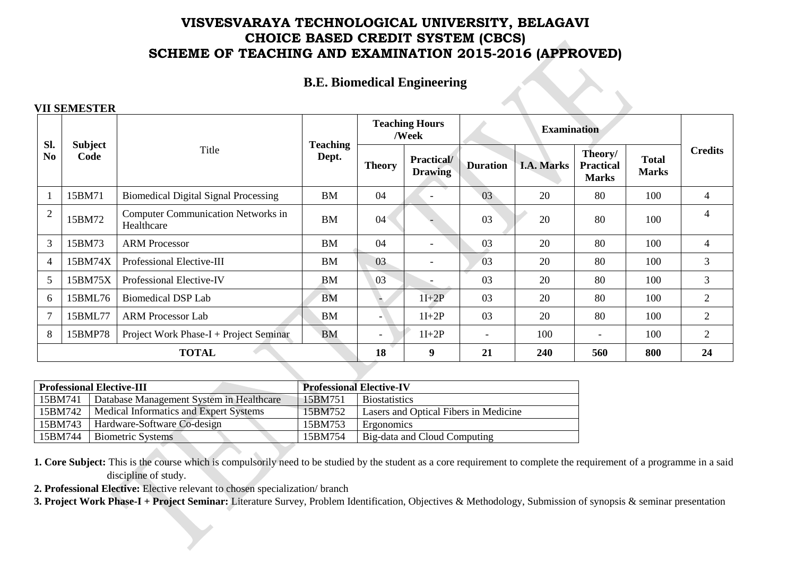# **B.E. Biomedical Engineering**

### **VII SEMESTER**

| Sl.            |                 |                                                         | <b>Teaching</b>                                                           |                          | <b>Teaching Hours</b><br>/Week |                                             |                              | <b>Examination</b>       |     |                |
|----------------|-----------------|---------------------------------------------------------|---------------------------------------------------------------------------|--------------------------|--------------------------------|---------------------------------------------|------------------------------|--------------------------|-----|----------------|
| N <sub>0</sub> | Subject<br>Code | Title                                                   | Dept.<br>Practical/<br><b>Duration</b><br><b>Theory</b><br><b>Drawing</b> |                          | <b>I.A. Marks</b>              | Theory/<br><b>Practical</b><br><b>Marks</b> | <b>Total</b><br><b>Marks</b> | <b>Credits</b>           |     |                |
|                | 15BM71          | <b>Biomedical Digital Signal Processing</b>             | <b>BM</b>                                                                 | 04                       | $\overline{\phantom{0}}$       | 03                                          | 20                           | 80                       | 100 | 4              |
| $\overline{2}$ | 15BM72          | <b>Computer Communication Networks in</b><br>Healthcare | <b>BM</b>                                                                 | $04^{\circ}$             |                                | 03                                          | 20                           | 80                       | 100 | 4              |
| 3              | 15BM73          | <b>ARM Processor</b>                                    | <b>BM</b>                                                                 | 04                       | $\overline{\phantom{a}}$       | 03                                          | 20                           | 80                       | 100 | 4              |
| $\overline{4}$ | 15BM74X         | Professional Elective-III                               | <b>BM</b>                                                                 | 03                       | $\overline{\phantom{a}}$       | 03                                          | 20                           | 80                       | 100 | $\overline{3}$ |
| 5              | 15BM75X         | Professional Elective-IV                                | <b>BM</b>                                                                 | 03                       |                                | 03                                          | 20                           | 80                       | 100 | $\mathfrak{Z}$ |
| 6              | 15BML76         | Biomedical DSP Lab                                      | <b>BM</b>                                                                 |                          | $1I+2P$                        | 03                                          | 20                           | 80                       | 100 | $\overline{2}$ |
| $\overline{7}$ | 15BML77         | <b>ARM Processor Lab</b>                                | <b>BM</b>                                                                 |                          | $1I+2P$                        | 03                                          | 20                           | 80                       | 100 | $\overline{2}$ |
| 8              | 15BMP78         | Project Work Phase-I + Project Seminar                  | <b>BM</b>                                                                 | $\overline{\phantom{0}}$ | $1I+2P$                        | $\overline{\phantom{a}}$                    | 100                          | $\overline{\phantom{a}}$ | 100 | $\overline{2}$ |
|                | <b>TOTAL</b>    |                                                         |                                                                           |                          | 9                              | 21                                          | 240                          | 560                      | 800 | 24             |

|         | <b>Professional Elective-III</b>         | <b>Professional Elective-IV</b> |                                       |  |
|---------|------------------------------------------|---------------------------------|---------------------------------------|--|
| 15BM741 | Database Management System in Healthcare | 15BM751                         | <b>Biostatistics</b>                  |  |
| 15BM742 | Medical Informatics and Expert Systems   | 15BM752                         | Lasers and Optical Fibers in Medicine |  |
| 15BM743 | Hardware-Software Co-design              | 15BM753                         | Ergonomics                            |  |
| 15BM744 | <b>Biometric Systems</b>                 | 15BM754                         | Big-data and Cloud Computing          |  |

**1. Core Subject:** This is the course which is compulsorily need to be studied by the student as a core requirement to complete the requirement of a programme in a said discipline of study.

**2. Professional Elective:** Elective relevant to chosen specialization/ branch

**3. Project Work Phase-I + Project Seminar:** Literature Survey, Problem Identification, Objectives & Methodology, Submission of synopsis & seminar presentation